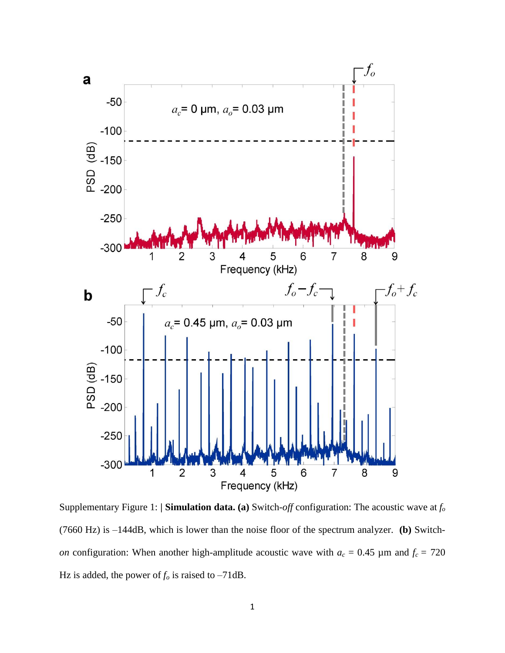

Supplementary Figure 1: **| Simulation data. (a)** Switch-*off* configuration: The acoustic wave at *f<sup>o</sup>* (7660 Hz) is –144dB, which is lower than the noise floor of the spectrum analyzer. **(b)** Switch*on* configuration: When another high-amplitude acoustic wave with  $a_c = 0.45 \mu$ m and  $f_c = 720 \mu$ Hz is added, the power of  $f<sub>o</sub>$  is raised to –71dB.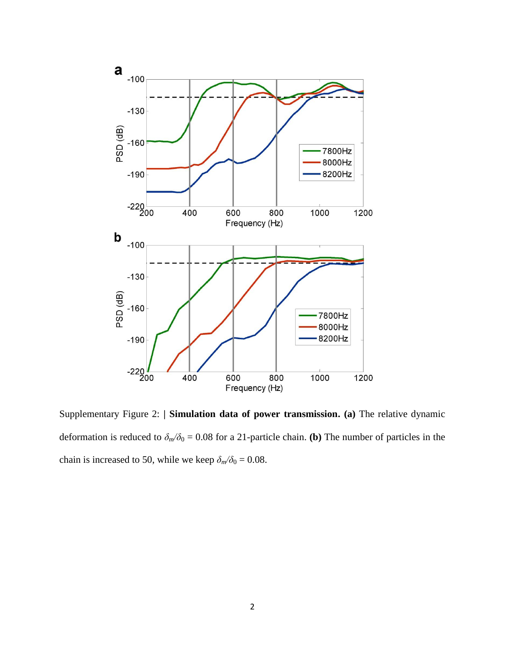

Supplementary Figure 2: **| Simulation data of power transmission. (a)** The relative dynamic deformation is reduced to  $\delta_m/\delta_0 = 0.08$  for a 21-particle chain. **(b)** The number of particles in the chain is increased to 50, while we keep  $\delta_m/\delta_0 = 0.08$ .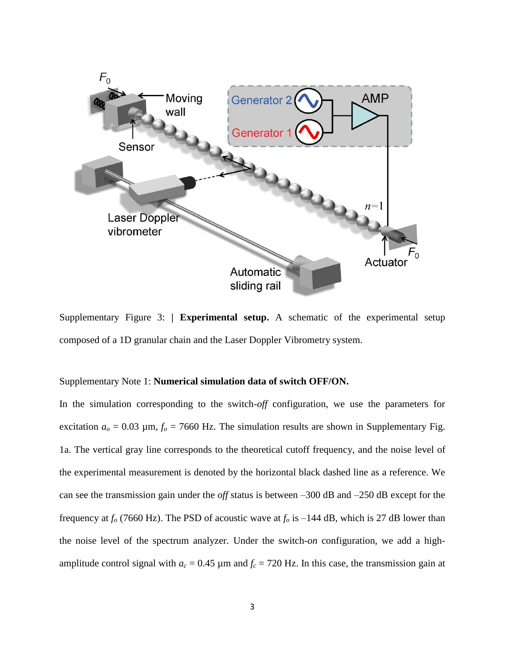

Supplementary Figure 3: **| Experimental setup.** A schematic of the experimental setup composed of a 1D granular chain and the Laser Doppler Vibrometry system.

## Supplementary Note 1: **Numerical simulation data of switch OFF/ON.**

In the simulation corresponding to the switch-*off* configuration, we use the parameters for excitation  $a_0 = 0.03$  µm,  $f_0 = 7660$  Hz. The simulation results are shown in Supplementary Fig. 1a. The vertical gray line corresponds to the theoretical cutoff frequency, and the noise level of the experimental measurement is denoted by the horizontal black dashed line as a reference. We can see the transmission gain under the *off* status is between –300 dB and –250 dB except for the frequency at  $f<sub>o</sub>$  (7660 Hz). The PSD of acoustic wave at  $f<sub>o</sub>$  is –144 dB, which is 27 dB lower than the noise level of the spectrum analyzer. Under the switch-*on* configuration, we add a highamplitude control signal with  $a_c = 0.45 \mu m$  and  $f_c = 720 \mu m$ . In this case, the transmission gain at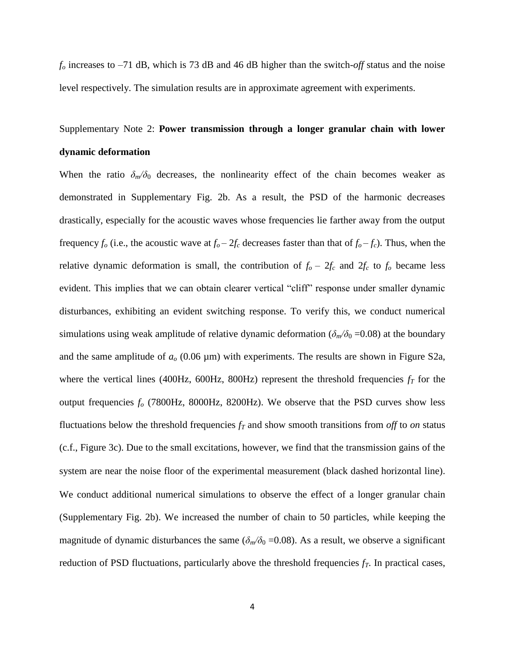*f<sup>o</sup>* increases to –71 dB, which is 73 dB and 46 dB higher than the switch-*off* status and the noise level respectively. The simulation results are in approximate agreement with experiments.

## Supplementary Note 2: **Power transmission through a longer granular chain with lower dynamic deformation**

When the ratio  $\delta_m/\delta_0$  decreases, the nonlinearity effect of the chain becomes weaker as demonstrated in Supplementary Fig. 2b. As a result, the PSD of the harmonic decreases drastically, especially for the acoustic waves whose frequencies lie farther away from the output frequency  $f_o$  (i.e., the acoustic wave at  $f_o - 2f_c$  decreases faster than that of  $f_o - f_c$ ). Thus, when the relative dynamic deformation is small, the contribution of  $f_o - 2f_c$  and  $2f_c$  to  $f_o$  became less evident. This implies that we can obtain clearer vertical "cliff" response under smaller dynamic disturbances, exhibiting an evident switching response. To verify this, we conduct numerical simulations using weak amplitude of relative dynamic deformation ( $\delta_m/\delta_0$  =0.08) at the boundary and the same amplitude of  $a<sub>o</sub>$  (0.06  $\mu$ m) with experiments. The results are shown in Figure S2a, where the vertical lines (400Hz, 600Hz, 800Hz) represent the threshold frequencies *f<sup>T</sup>* for the output frequencies *f<sup>o</sup>* (7800Hz, 8000Hz, 8200Hz). We observe that the PSD curves show less fluctuations below the threshold frequencies *f<sup>T</sup>* and show smooth transitions from *off* to *on* status (c.f., Figure 3c). Due to the small excitations, however, we find that the transmission gains of the system are near the noise floor of the experimental measurement (black dashed horizontal line). We conduct additional numerical simulations to observe the effect of a longer granular chain (Supplementary Fig. 2b). We increased the number of chain to 50 particles, while keeping the magnitude of dynamic disturbances the same ( $\delta_m/\delta_0$  =0.08). As a result, we observe a significant reduction of PSD fluctuations, particularly above the threshold frequencies *fT*. In practical cases,